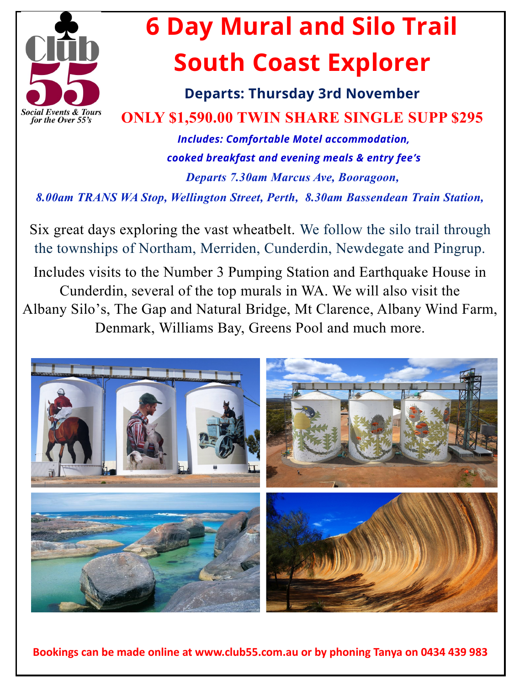

## **6 Day Mural and Silo Trail South Coast Explorer**

**Departs: Thursday 3rd November ONLY \$1,590.00 TWIN SHARE SINGLE SUPP \$295** 

 *Includes: Comfortable Motel accommodation, cooked breakfast and evening meals & entry fee's Departs 7.30am Marcus Ave, Booragoon,* 

*8.00am TRANS WA Stop, Wellington Street, Perth, 8.30am Bassendean Train Station,* 

Six great days exploring the vast wheatbelt. We follow the silo trail through the townships of Northam, Merriden, Cunderdin, Newdegate and Pingrup.

Includes visits to the Number 3 Pumping Station and Earthquake House in Cunderdin, several of the top murals in WA. We will also visit the Albany Silo's, The Gap and Natural Bridge, Mt Clarence, Albany Wind Farm, Denmark, Williams Bay, Greens Pool and much more.



**Bookings can be made online at www.club55.com.au or by phoning Tanya on 0434 439 983**